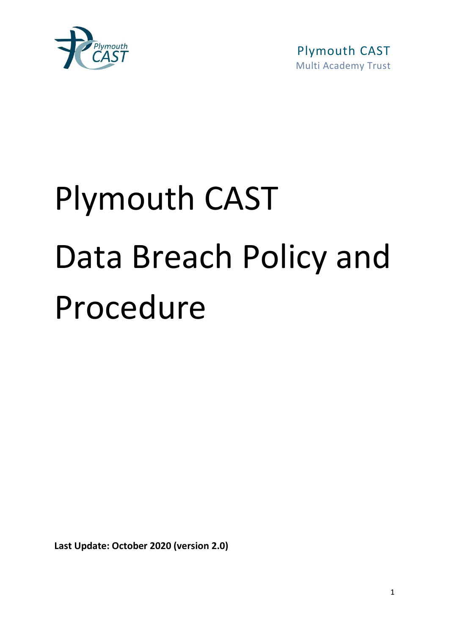

 Plymouth CAST Multi Academy Trust

# Plymouth CAST Data Breach Policy and Procedure

**Last Update: October 2020 (version 2.0)**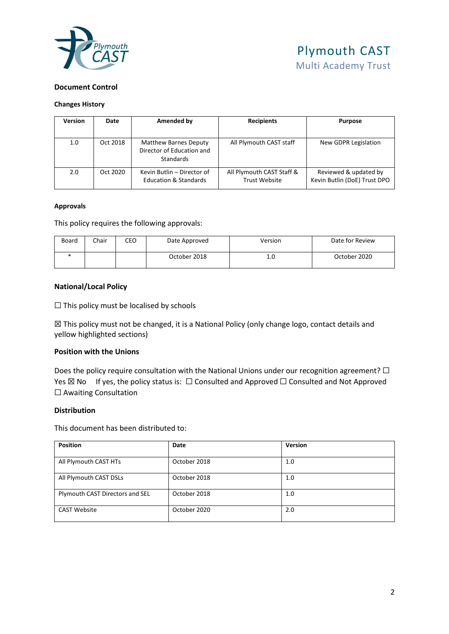

#### **Document Control**

#### **Changes History**

| <b>Version</b> | Date     | Amended by                                                                    | <b>Recipients</b>                                 | <b>Purpose</b>                                        |
|----------------|----------|-------------------------------------------------------------------------------|---------------------------------------------------|-------------------------------------------------------|
|                |          |                                                                               |                                                   |                                                       |
| 1.0            | Oct 2018 | <b>Matthew Barnes Deputy</b><br>Director of Education and<br><b>Standards</b> | All Plymouth CAST staff                           | New GDPR Legislation                                  |
| 2.0            | Oct 2020 | Kevin Butlin - Director of<br><b>Education &amp; Standards</b>                | All Plymouth CAST Staff &<br><b>Trust Website</b> | Reviewed & updated by<br>Kevin Butlin (DoE) Trust DPO |

#### **Approvals**

This policy requires the following approvals:

| Board | Chair | CEO | Date Approved | Version | Date for Review |
|-------|-------|-----|---------------|---------|-----------------|
|       |       |     | October 2018  | 1.0     | October 2020    |

#### **National/Local Policy**

□ This policy must be localised by schools

☒ This policy must not be changed, it is a National Policy (only change logo, contact details and yellow highlighted sections)

#### **Position with the Unions**

Does the policy require consultation with the National Unions under our recognition agreement? □ Yes ⊠ No If yes, the policy status is:  $□$  Consulted and Approved  $□$  Consulted and Not Approved □ Awaiting Consultation

#### **Distribution**

This document has been distributed to:

| <b>Position</b>                 | Date         | <b>Version</b> |
|---------------------------------|--------------|----------------|
| All Plymouth CAST HTs           | October 2018 | 1.0            |
| All Plymouth CAST DSLs          | October 2018 | 1.0            |
| Plymouth CAST Directors and SEL | October 2018 | 1.0            |
| <b>CAST Website</b>             | October 2020 | 2.0            |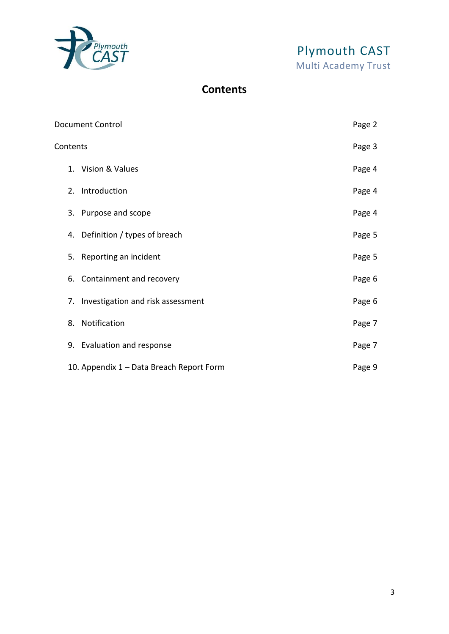

# **Contents**

|          | <b>Document Control</b>                  | Page 2 |
|----------|------------------------------------------|--------|
| Contents |                                          | Page 3 |
|          | 1. Vision & Values                       | Page 4 |
|          | 2. Introduction                          | Page 4 |
|          | 3. Purpose and scope                     | Page 4 |
|          | 4. Definition / types of breach          | Page 5 |
|          | 5. Reporting an incident                 | Page 5 |
|          | 6. Containment and recovery              | Page 6 |
| 7.       | Investigation and risk assessment        | Page 6 |
|          | 8. Notification                          | Page 7 |
|          | 9. Evaluation and response               | Page 7 |
|          | 10. Appendix 1 – Data Breach Report Form | Page 9 |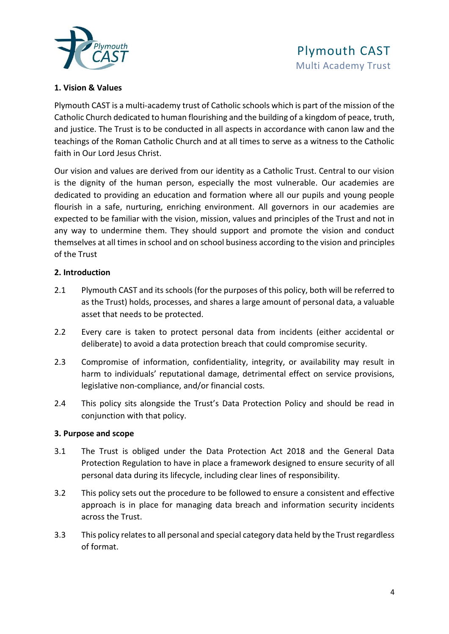

#### **1. Vision & Values**

Plymouth CAST is a multi-academy trust of Catholic schools which is part of the mission of the Catholic Church dedicated to human flourishing and the building of a kingdom of peace, truth, and justice. The Trust is to be conducted in all aspects in accordance with canon law and the teachings of the Roman Catholic Church and at all times to serve as a witness to the Catholic faith in Our Lord Jesus Christ.

Our vision and values are derived from our identity as a Catholic Trust. Central to our vision is the dignity of the human person, especially the most vulnerable. Our academies are dedicated to providing an education and formation where all our pupils and young people flourish in a safe, nurturing, enriching environment. All governors in our academies are expected to be familiar with the vision, mission, values and principles of the Trust and not in any way to undermine them. They should support and promote the vision and conduct themselves at all times in school and on school business according to the vision and principles of the Trust

#### **2. Introduction**

- 2.1 Plymouth CAST and its schools (for the purposes of this policy, both will be referred to as the Trust) holds, processes, and shares a large amount of personal data, a valuable asset that needs to be protected.
- 2.2 Every care is taken to protect personal data from incidents (either accidental or deliberate) to avoid a data protection breach that could compromise security.
- 2.3 Compromise of information, confidentiality, integrity, or availability may result in harm to individuals' reputational damage, detrimental effect on service provisions, legislative non-compliance, and/or financial costs.
- 2.4 This policy sits alongside the Trust's Data Protection Policy and should be read in conjunction with that policy.

#### **3. Purpose and scope**

- 3.1 The Trust is obliged under the Data Protection Act 2018 and the General Data Protection Regulation to have in place a framework designed to ensure security of all personal data during its lifecycle, including clear lines of responsibility.
- 3.2 This policy sets out the procedure to be followed to ensure a consistent and effective approach is in place for managing data breach and information security incidents across the Trust.
- 3.3 This policy relates to all personal and special category data held by the Trust regardless of format.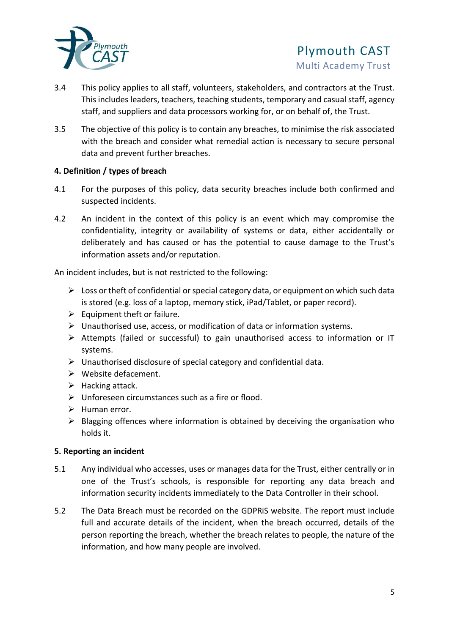

- 3.4 This policy applies to all staff, volunteers, stakeholders, and contractors at the Trust. This includes leaders, teachers, teaching students, temporary and casual staff, agency staff, and suppliers and data processors working for, or on behalf of, the Trust.
- 3.5 The objective of this policy is to contain any breaches, to minimise the risk associated with the breach and consider what remedial action is necessary to secure personal data and prevent further breaches.

# **4. Definition / types of breach**

- 4.1 For the purposes of this policy, data security breaches include both confirmed and suspected incidents.
- 4.2 An incident in the context of this policy is an event which may compromise the confidentiality, integrity or availability of systems or data, either accidentally or deliberately and has caused or has the potential to cause damage to the Trust's information assets and/or reputation.

An incident includes, but is not restricted to the following:

- $\triangleright$  Loss or theft of confidential or special category data, or equipment on which such data is stored (e.g. loss of a laptop, memory stick, iPad/Tablet, or paper record).
- $\triangleright$  Equipment theft or failure.
- ➢ Unauthorised use, access, or modification of data or information systems.
- ➢ Attempts (failed or successful) to gain unauthorised access to information or IT systems.
- ➢ Unauthorised disclosure of special category and confidential data.
- ➢ Website defacement.
- $\blacktriangleright$  Hacking attack.
- $\triangleright$  Unforeseen circumstances such as a fire or flood.
- $\triangleright$  Human error.
- ➢ Blagging offences where information is obtained by deceiving the organisation who holds it.

# **5. Reporting an incident**

- 5.1 Any individual who accesses, uses or manages data for the Trust, either centrally or in one of the Trust's schools, is responsible for reporting any data breach and information security incidents immediately to the Data Controller in their school.
- 5.2 The Data Breach must be recorded on the GDPRiS website. The report must include full and accurate details of the incident, when the breach occurred, details of the person reporting the breach, whether the breach relates to people, the nature of the information, and how many people are involved.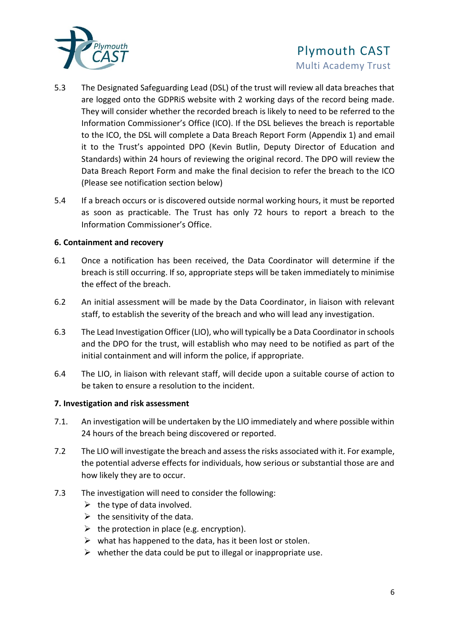

- 5.3 The Designated Safeguarding Lead (DSL) of the trust will review all data breaches that are logged onto the GDPRiS website with 2 working days of the record being made. They will consider whether the recorded breach is likely to need to be referred to the Information Commissioner's Office (ICO). If the DSL believes the breach is reportable to the ICO, the DSL will complete a Data Breach Report Form (Appendix 1) and email it to the Trust's appointed DPO (Kevin Butlin, Deputy Director of Education and Standards) within 24 hours of reviewing the original record. The DPO will review the Data Breach Report Form and make the final decision to refer the breach to the ICO (Please see notification section below)
- 5.4 If a breach occurs or is discovered outside normal working hours, it must be reported as soon as practicable. The Trust has only 72 hours to report a breach to the Information Commissioner's Office.

#### **6. Containment and recovery**

- 6.1 Once a notification has been received, the Data Coordinator will determine if the breach is still occurring. If so, appropriate steps will be taken immediately to minimise the effect of the breach.
- 6.2 An initial assessment will be made by the Data Coordinator, in liaison with relevant staff, to establish the severity of the breach and who will lead any investigation.
- 6.3 The Lead Investigation Officer (LIO), who will typically be a Data Coordinator in schools and the DPO for the trust, will establish who may need to be notified as part of the initial containment and will inform the police, if appropriate.
- 6.4 The LIO, in liaison with relevant staff, will decide upon a suitable course of action to be taken to ensure a resolution to the incident.

# **7. Investigation and risk assessment**

- 7.1. An investigation will be undertaken by the LIO immediately and where possible within 24 hours of the breach being discovered or reported.
- 7.2 The LIO will investigate the breach and assess the risks associated with it. For example, the potential adverse effects for individuals, how serious or substantial those are and how likely they are to occur.
- 7.3 The investigation will need to consider the following:
	- $\triangleright$  the type of data involved.
	- $\triangleright$  the sensitivity of the data.
	- $\triangleright$  the protection in place (e.g. encryption).
	- $\triangleright$  what has happened to the data, has it been lost or stolen.
	- $\triangleright$  whether the data could be put to illegal or inappropriate use.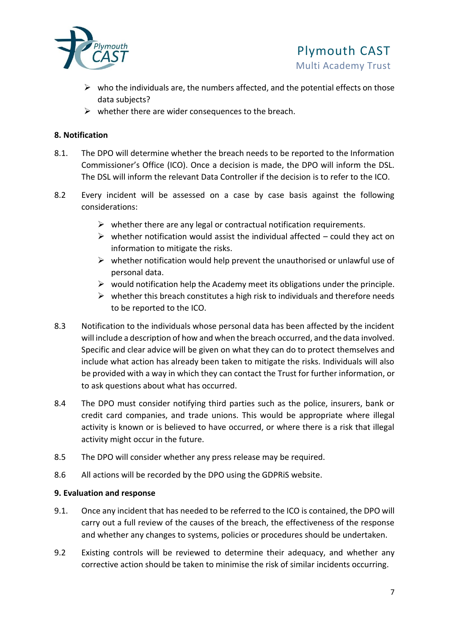

- $\triangleright$  who the individuals are, the numbers affected, and the potential effects on those data subjects?
- $\triangleright$  whether there are wider consequences to the breach.

# **8. Notification**

- 8.1. The DPO will determine whether the breach needs to be reported to the Information Commissioner's Office (ICO). Once a decision is made, the DPO will inform the DSL. The DSL will inform the relevant Data Controller if the decision is to refer to the ICO.
- 8.2 Every incident will be assessed on a case by case basis against the following considerations:
	- $\triangleright$  whether there are any legal or contractual notification requirements.
	- $\triangleright$  whether notification would assist the individual affected could they act on information to mitigate the risks.
	- $\triangleright$  whether notification would help prevent the unauthorised or unlawful use of personal data.
	- $\triangleright$  would notification help the Academy meet its obligations under the principle.
	- $\triangleright$  whether this breach constitutes a high risk to individuals and therefore needs to be reported to the ICO.
- 8.3 Notification to the individuals whose personal data has been affected by the incident will include a description of how and when the breach occurred, and the data involved. Specific and clear advice will be given on what they can do to protect themselves and include what action has already been taken to mitigate the risks. Individuals will also be provided with a way in which they can contact the Trust for further information, or to ask questions about what has occurred.
- 8.4 The DPO must consider notifying third parties such as the police, insurers, bank or credit card companies, and trade unions. This would be appropriate where illegal activity is known or is believed to have occurred, or where there is a risk that illegal activity might occur in the future.
- 8.5 The DPO will consider whether any press release may be required.
- 8.6 All actions will be recorded by the DPO using the GDPRiS website.

# **9. Evaluation and response**

- 9.1. Once any incident that has needed to be referred to the ICO is contained, the DPO will carry out a full review of the causes of the breach, the effectiveness of the response and whether any changes to systems, policies or procedures should be undertaken.
- 9.2 Existing controls will be reviewed to determine their adequacy, and whether any corrective action should be taken to minimise the risk of similar incidents occurring.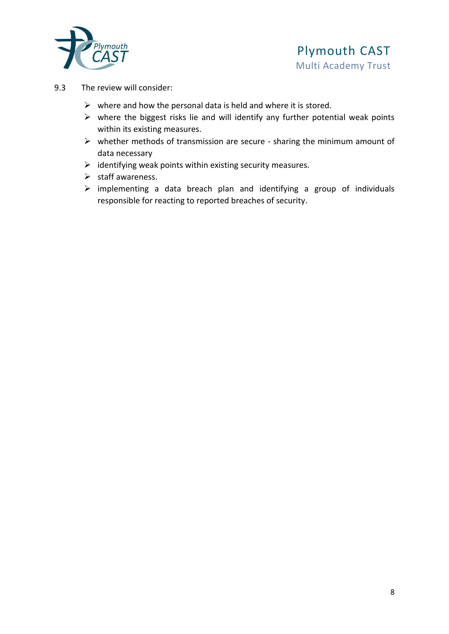

- 9.3 The review will consider:
	- $\triangleright$  where and how the personal data is held and where it is stored.
	- $\triangleright$  where the biggest risks lie and will identify any further potential weak points within its existing measures.
	- ➢ whether methods of transmission are secure sharing the minimum amount of data necessary
	- $\triangleright$  identifying weak points within existing security measures.
	- ➢ staff awareness.
	- ➢ implementing a data breach plan and identifying a group of individuals responsible for reacting to reported breaches of security.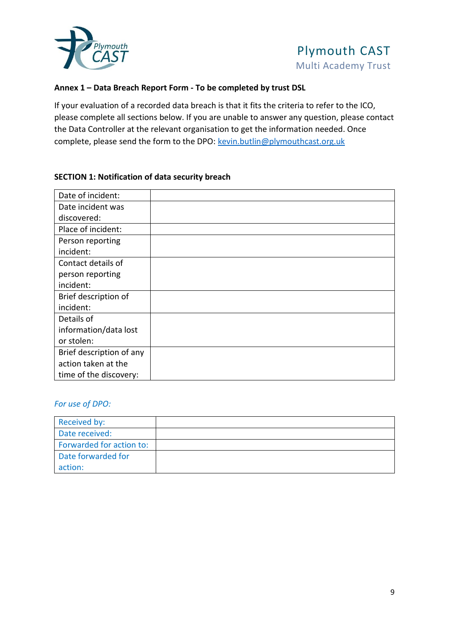

#### **Annex 1 – Data Breach Report Form - To be completed by trust DSL**

If your evaluation of a recorded data breach is that it fits the criteria to refer to the ICO, please complete all sections below. If you are unable to answer any question, please contact the Data Controller at the relevant organisation to get the information needed. Once complete, please send the form to the DPO: [kevin.butlin@plymouthcast.org.uk](mailto:kevin.butlin@plymouthcast.org.uk)

#### **SECTION 1: Notification of data security breach**

| Date of incident:        |  |
|--------------------------|--|
| Date incident was        |  |
| discovered:              |  |
| Place of incident:       |  |
| Person reporting         |  |
| incident:                |  |
| Contact details of       |  |
| person reporting         |  |
| incident:                |  |
| Brief description of     |  |
| incident:                |  |
| Details of               |  |
| information/data lost    |  |
| or stolen:               |  |
| Brief description of any |  |
| action taken at the      |  |
| time of the discovery:   |  |

#### *For use of DPO:*

| Received by:             |  |
|--------------------------|--|
| Date received:           |  |
| Forwarded for action to: |  |
| Date forwarded for       |  |
| action:                  |  |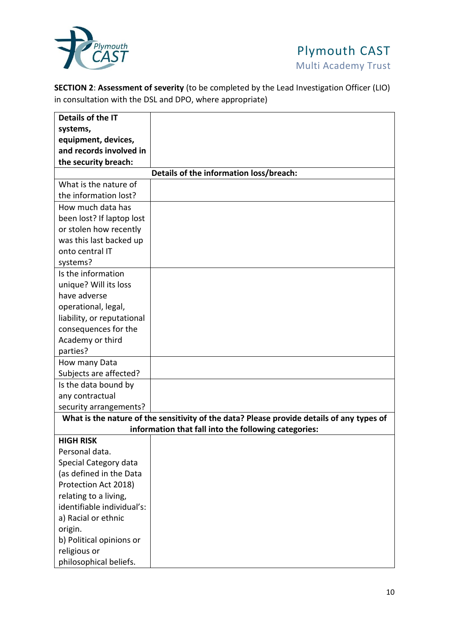

**SECTION 2**: **Assessment of severity** (to be completed by the Lead Investigation Officer (LIO) in consultation with the DSL and DPO, where appropriate)

| Details of the IT          |                                                                                           |
|----------------------------|-------------------------------------------------------------------------------------------|
| systems,                   |                                                                                           |
| equipment, devices,        |                                                                                           |
| and records involved in    |                                                                                           |
| the security breach:       |                                                                                           |
|                            | Details of the information loss/breach:                                                   |
| What is the nature of      |                                                                                           |
| the information lost?      |                                                                                           |
| How much data has          |                                                                                           |
| been lost? If laptop lost  |                                                                                           |
| or stolen how recently     |                                                                                           |
| was this last backed up    |                                                                                           |
| onto central IT            |                                                                                           |
| systems?                   |                                                                                           |
| Is the information         |                                                                                           |
| unique? Will its loss      |                                                                                           |
| have adverse               |                                                                                           |
| operational, legal,        |                                                                                           |
| liability, or reputational |                                                                                           |
| consequences for the       |                                                                                           |
| Academy or third           |                                                                                           |
| parties?                   |                                                                                           |
| How many Data              |                                                                                           |
| Subjects are affected?     |                                                                                           |
| Is the data bound by       |                                                                                           |
| any contractual            |                                                                                           |
| security arrangements?     |                                                                                           |
|                            | What is the nature of the sensitivity of the data? Please provide details of any types of |
|                            | information that fall into the following categories:                                      |
| <b>HIGH RISK</b>           |                                                                                           |
| Personal data.             |                                                                                           |
| Special Category data      |                                                                                           |
| (as defined in the Data    |                                                                                           |
| Protection Act 2018)       |                                                                                           |
| relating to a living,      |                                                                                           |
| identifiable individual's: |                                                                                           |
| a) Racial or ethnic        |                                                                                           |
| origin.                    |                                                                                           |
| b) Political opinions or   |                                                                                           |
| religious or               |                                                                                           |
| philosophical beliefs.     |                                                                                           |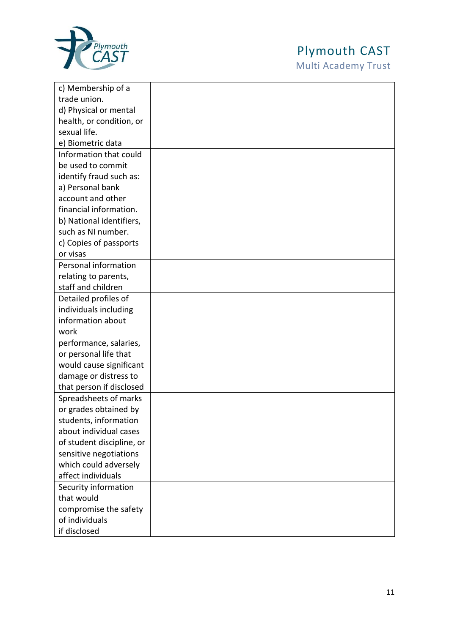

# Plymouth CAST

Multi Academy Trust

| c) Membership of a        |  |
|---------------------------|--|
| trade union.              |  |
| d) Physical or mental     |  |
| health, or condition, or  |  |
| sexual life.              |  |
| e) Biometric data         |  |
| Information that could    |  |
| be used to commit         |  |
| identify fraud such as:   |  |
| a) Personal bank          |  |
| account and other         |  |
| financial information.    |  |
| b) National identifiers,  |  |
| such as NI number.        |  |
| c) Copies of passports    |  |
| or visas                  |  |
| Personal information      |  |
| relating to parents,      |  |
| staff and children        |  |
| Detailed profiles of      |  |
| individuals including     |  |
| information about         |  |
| work                      |  |
| performance, salaries,    |  |
| or personal life that     |  |
| would cause significant   |  |
| damage or distress to     |  |
| that person if disclosed  |  |
| Spreadsheets of marks     |  |
| or grades obtained by     |  |
| students, information     |  |
| about individual cases    |  |
| of student discipline, or |  |
| sensitive negotiations    |  |
| which could adversely     |  |
| affect individuals        |  |
| Security information      |  |
| that would                |  |
| compromise the safety     |  |
| of individuals            |  |
| if disclosed              |  |